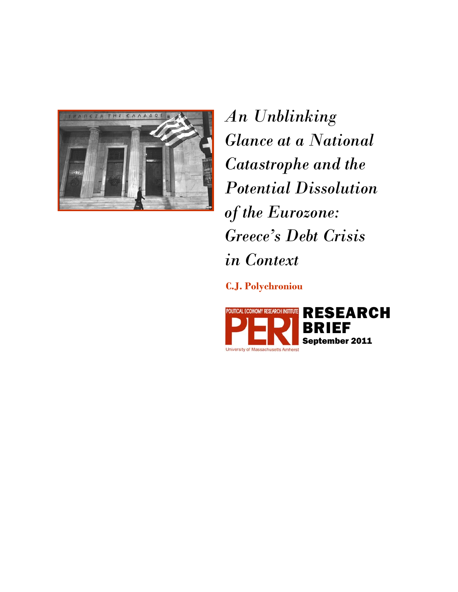

*An Unblinking Glance at a National Catastrophe and the Potential Dissolution of the Eurozone: Greece's Debt Crisis in Context* 

**C.J. Polychroniou** 

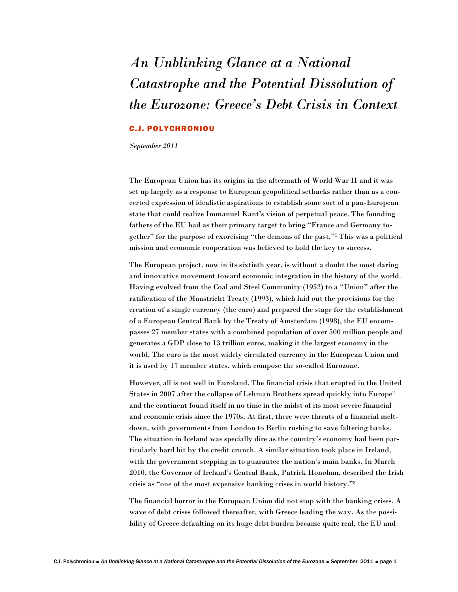# *An Unblinking Glance at a National Catastrophe and the Potential Dissolution of the Eurozone: Greece's Debt Crisis in Context*

## C.J. POLYCHRONIOU

*September 2011* 

The European Union has its origins in the aftermath of World War II and it was set up largely as a response to European geopolitical setbacks rather than as a concerted expression of idealistic aspirations to establish some sort of a pan-European state that could realize Immanuel Kant's vision of perpetual peace. The founding fathers of the EU had as their primary target to bring "France and Germany together" for the purpose of exorcising "the demons of the past."1 This was a political mission and economic cooperation was believed to hold the key to success.

The European project, now in its sixtieth year, is without a doubt the most daring and innovative movement toward economic integration in the history of the world. Having evolved from the Coal and Steel Community (1952) to a "Union" after the ratification of the Maastricht Treaty (1993), which laid out the provisions for the creation of a single currency (the euro) and prepared the stage for the establishment of a European Central Bank by the Treaty of Amsterdam (1998), the EU encompasses 27 member states with a combined population of over 500 million people and generates a GDP close to 13 trillion euros, making it the largest economy in the world. The euro is the most widely circulated currency in the European Union and it is used by 17 member states, which compose the so-called Eurozone.

However, all is not well in Euroland. The financial crisis that erupted in the United States in 2007 after the collapse of Lehman Brothers spread quickly into Europe2 and the continent found itself in no time in the midst of its most severe financial and economic crisis since the 1970s. At first, there were threats of a financial meltdown, with governments from London to Berlin rushing to save faltering banks. The situation in Iceland was specially dire as the country's economy had been particularly hard hit by the credit crunch. A similar situation took place in Ireland, with the government stepping in to guarantee the nation's main banks. In March 2010, the Governor of Ireland's Central Bank, Patrick Honohan, described the Irish crisis as "one of the most expensive banking crises in world history."3

The financial horror in the European Union did not stop with the banking crises. A wave of debt crises followed thereafter, with Greece leading the way. As the possibility of Greece defaulting on its huge debt burden became quite real, the EU and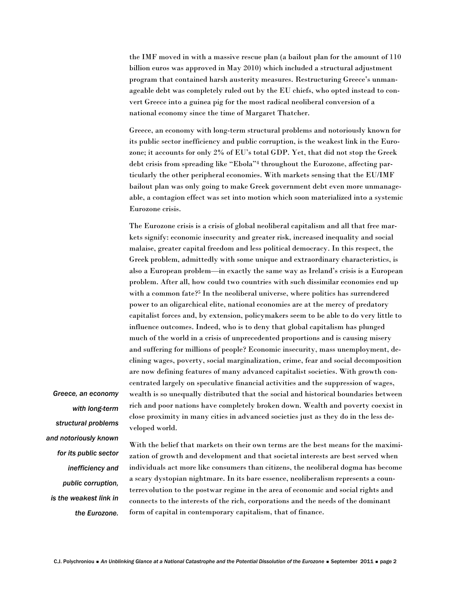the IMF moved in with a massive rescue plan (a bailout plan for the amount of 110 billion euros was approved in May 2010) which included a structural adjustment program that contained harsh austerity measures. Restructuring Greece's unmanageable debt was completely ruled out by the EU chiefs, who opted instead to convert Greece into a guinea pig for the most radical neoliberal conversion of a national economy since the time of Margaret Thatcher.

Greece, an economy with long-term structural problems and notoriously known for its public sector inefficiency and public corruption, is the weakest link in the Eurozone; it accounts for only 2% of EU's total GDP. Yet, that did not stop the Greek debt crisis from spreading like "Ebola"4 throughout the Eurozone, affecting particularly the other peripheral economies. With markets sensing that the EU/IMF bailout plan was only going to make Greek government debt even more unmanageable, a contagion effect was set into motion which soon materialized into a systemic Eurozone crisis.

The Eurozone crisis is a crisis of global neoliberal capitalism and all that free markets signify: economic insecurity and greater risk, increased inequality and social malaise, greater capital freedom and less political democracy. In this respect, the Greek problem, admittedly with some unique and extraordinary characteristics, is also a European problem—in exactly the same way as Ireland's crisis is a European problem. After all, how could two countries with such dissimilar economies end up with a common fate?<sup>5</sup> In the neoliberal universe, where politics has surrendered power to an oligarchical elite, national economies are at the mercy of predatory capitalist forces and, by extension, policymakers seem to be able to do very little to influence outcomes. Indeed, who is to deny that global capitalism has plunged much of the world in a crisis of unprecedented proportions and is causing misery and suffering for millions of people? Economic insecurity, mass unemployment, declining wages, poverty, social marginalization, crime, fear and social decomposition are now defining features of many advanced capitalist societies. With growth concentrated largely on speculative financial activities and the suppression of wages, wealth is so unequally distributed that the social and historical boundaries between rich and poor nations have completely broken down. Wealth and poverty coexist in close proximity in many cities in advanced societies just as they do in the less developed world.

*Greece, an economy with long-term structural problems and notoriously known for its public sector inefficiency and public corruption, is the weakest link in the Eurozone.*

With the belief that markets on their own terms are the best means for the maximization of growth and development and that societal interests are best served when individuals act more like consumers than citizens, the neoliberal dogma has become a scary dystopian nightmare. In its bare essence, neoliberalism represents a counterrevolution to the postwar regime in the area of economic and social rights and connects to the interests of the rich, corporations and the needs of the dominant form of capital in contemporary capitalism, that of finance.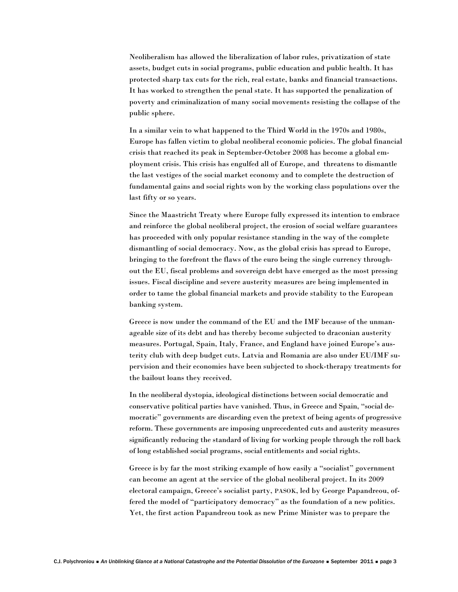Neoliberalism has allowed the liberalization of labor rules, privatization of state assets, budget cuts in social programs, public education and public health. It has protected sharp tax cuts for the rich, real estate, banks and financial transactions. It has worked to strengthen the penal state. It has supported the penalization of poverty and criminalization of many social movements resisting the collapse of the public sphere.

In a similar vein to what happened to the Third World in the 1970s and 1980s, Europe has fallen victim to global neoliberal economic policies. The global financial crisis that reached its peak in September-October 2008 has become a global employment crisis. This crisis has engulfed all of Europe, and threatens to dismantle the last vestiges of the social market economy and to complete the destruction of fundamental gains and social rights won by the working class populations over the last fifty or so years.

Since the Maastricht Treaty where Europe fully expressed its intention to embrace and reinforce the global neoliberal project, the erosion of social welfare guarantees has proceeded with only popular resistance standing in the way of the complete dismantling of social democracy. Now, as the global crisis has spread to Europe, bringing to the forefront the flaws of the euro being the single currency throughout the EU, fiscal problems and sovereign debt have emerged as the most pressing issues. Fiscal discipline and severe austerity measures are being implemented in order to tame the global financial markets and provide stability to the European banking system.

Greece is now under the command of the EU and the IMF because of the unmanageable size of its debt and has thereby become subjected to draconian austerity measures. Portugal, Spain, Italy, France, and England have joined Europe's austerity club with deep budget cuts. Latvia and Romania are also under EU/IMF supervision and their economies have been subjected to shock-therapy treatments for the bailout loans they received.

In the neoliberal dystopia, ideological distinctions between social democratic and conservative political parties have vanished. Thus, in Greece and Spain, "social democratic" governments are discarding even the pretext of being agents of progressive reform. These governments are imposing unprecedented cuts and austerity measures significantly reducing the standard of living for working people through the roll back of long established social programs, social entitlements and social rights.

Greece is by far the most striking example of how easily a "socialist" government can become an agent at the service of the global neoliberal project. In its 2009 electoral campaign, Greece's socialist party, PASOK, led by George Papandreou, offered the model of "participatory democracy" as the foundation of a new politics. Yet, the first action Papandreou took as new Prime Minister was to prepare the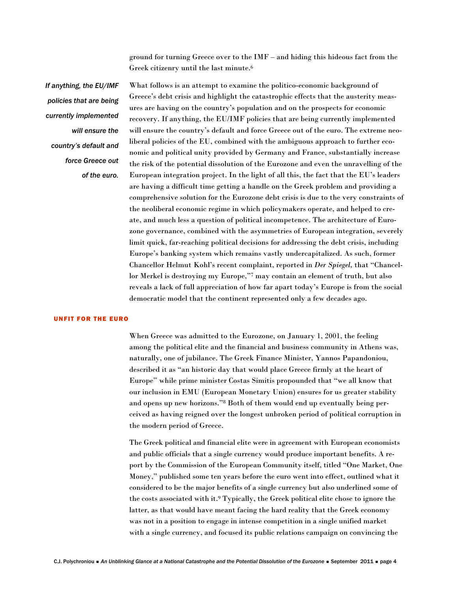ground for turning Greece over to the IMF – and hiding this hideous fact from the Greek citizenry until the last minute.6

*If anything, the EU/IMF policies that are being currently implemented will ensure the country's default and force Greece out of the euro.*

What follows is an attempt to examine the politico-economic background of Greece's debt crisis and highlight the catastrophic effects that the austerity measures are having on the country's population and on the prospects for economic recovery. If anything, the EU/IMF policies that are being currently implemented will ensure the country's default and force Greece out of the euro. The extreme neoliberal policies of the EU, combined with the ambiguous approach to further economic and political unity provided by Germany and France, substantially increase the risk of the potential dissolution of the Eurozone and even the unravelling of the European integration project. In the light of all this, the fact that the EU's leaders are having a difficult time getting a handle on the Greek problem and providing a comprehensive solution for the Eurozone debt crisis is due to the very constraints of the neoliberal economic regime in which policymakers operate, and helped to create, and much less a question of political incompetence. The architecture of Eurozone governance, combined with the asymmetries of European integration, severely limit quick, far-reaching political decisions for addressing the debt crisis, including Europe's banking system which remains vastly undercapitalized. As such, former Chancellor Helmut Kohl's recent complaint, reported in *Der Spiegel,* that "Chancellor Merkel is destroying my Europe,"7 may contain an element of truth, but also reveals a lack of full appreciation of how far apart today's Europe is from the social democratic model that the continent represented only a few decades ago.

#### UNFIT FOR THE EURO

When Greece was admitted to the Eurozone, on January 1, 2001, the feeling among the political elite and the financial and business community in Athens was, naturally, one of jubilance. The Greek Finance Minister, Yannos Papandoniou, described it as "an historic day that would place Greece firmly at the heart of Europe" while prime minister Costas Simitis propounded that "we all know that our inclusion in EMU (European Monetary Union) ensures for us greater stability and opens up new horizons."8 Both of them would end up eventually being perceived as having reigned over the longest unbroken period of political corruption in the modern period of Greece.

The Greek political and financial elite were in agreement with European economists and public officials that a single currency would produce important benefits. A report by the Commission of the European Community itself, titled "One Market, One Money," published some ten years before the euro went into effect, outlined what it considered to be the major benefits of a single currency but also underlined some of the costs associated with it.9 Typically, the Greek political elite chose to ignore the latter, as that would have meant facing the hard reality that the Greek economy was not in a position to engage in intense competition in a single unified market with a single currency, and focused its public relations campaign on convincing the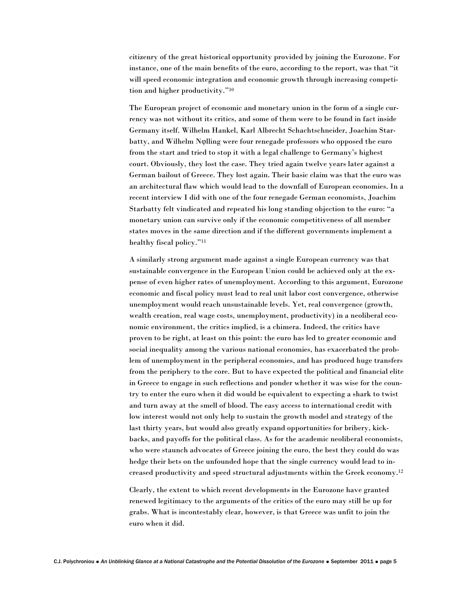citizenry of the great historical opportunity provided by joining the Eurozone. For instance, one of the main benefits of the euro, according to the report, was that "it will speed economic integration and economic growth through increasing competition and higher productivity."10

The European project of economic and monetary union in the form of a single currency was not without its critics, and some of them were to be found in fact inside Germany itself. Wilhelm Hankel, Karl Albrecht Schachtschneider, Joachim Starbatty, and Wilhelm Nφlling were four renegade professors who opposed the euro from the start and tried to stop it with a legal challenge to Germany's highest court. Obviously, they lost the case. They tried again twelve years later against a German bailout of Greece. They lost again. Their basic claim was that the euro was an architectural flaw which would lead to the downfall of European economies. In a recent interview I did with one of the four renegade German economists, Joachim Starbatty felt vindicated and repeated his long standing objection to the euro: "a monetary union can survive only if the economic competitiveness of all member states moves in the same direction and if the different governments implement a healthy fiscal policy."11

A similarly strong argument made against a single European currency was that sustainable convergence in the European Union could be achieved only at the expense of even higher rates of unemployment. According to this argument, Eurozone economic and fiscal policy must lead to real unit labor cost convergence, otherwise unemployment would reach unsustainable levels. Yet, real convergence (growth, wealth creation, real wage costs, unemployment, productivity) in a neoliberal economic environment, the critics implied, is a chimera. Indeed, the critics have proven to be right, at least on this point: the euro has led to greater economic and social inequality among the various national economies, has exacerbated the problem of unemployment in the peripheral economies, and has produced huge transfers from the periphery to the core. But to have expected the political and financial elite in Greece to engage in such reflections and ponder whether it was wise for the country to enter the euro when it did would be equivalent to expecting a shark to twist and turn away at the smell of blood. The easy access to international credit with low interest would not only help to sustain the growth model and strategy of the last thirty years, but would also greatly expand opportunities for bribery, kickbacks, and payoffs for the political class. As for the academic neoliberal economists, who were staunch advocates of Greece joining the euro, the best they could do was hedge their bets on the unfounded hope that the single currency would lead to increased productivity and speed structural adjustments within the Greek economy.12

Clearly, the extent to which recent developments in the Eurozone have granted renewed legitimacy to the arguments of the critics of the euro may still be up for grabs. What is incontestably clear, however, is that Greece was unfit to join the euro when it did.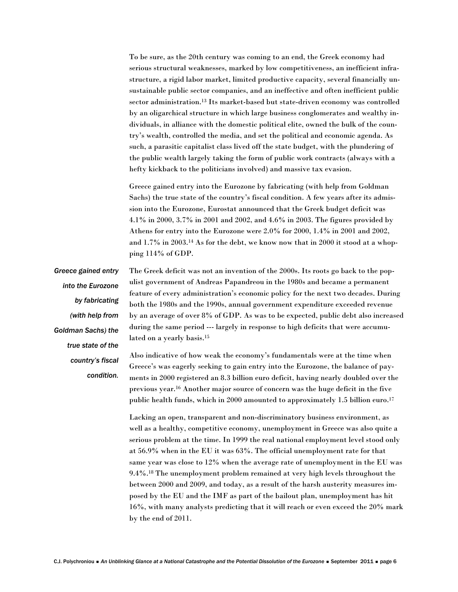To be sure, as the 20th century was coming to an end, the Greek economy had serious structural weaknesses, marked by low competitiveness, an inefficient infrastructure, a rigid labor market, limited productive capacity, several financially unsustainable public sector companies, and an ineffective and often inefficient public sector administration.13 Its market-based but state-driven economy was controlled by an oligarchical structure in which large business conglomerates and wealthy individuals, in alliance with the domestic political elite, owned the bulk of the country's wealth, controlled the media, and set the political and economic agenda. As such, a parasitic capitalist class lived off the state budget, with the plundering of the public wealth largely taking the form of public work contracts (always with a hefty kickback to the politicians involved) and massive tax evasion.

Greece gained entry into the Eurozone by fabricating (with help from Goldman Sachs) the true state of the country's fiscal condition. A few years after its admission into the Eurozone, Eurostat announced that the Greek budget deficit was 4.1% in 2000, 3.7% in 2001 and 2002, and 4.6% in 2003. The figures provided by Athens for entry into the Eurozone were 2.0% for 2000, 1.4% in 2001 and 2002, and 1.7% in 2003.14 As for the debt, we know now that in 2000 it stood at a whopping 114% of GDP.

*Greece gained entry into the Eurozone by fabricating (with help from Goldman Sachs) the true state of the country's fiscal condition.*

The Greek deficit was not an invention of the 2000s. Its roots go back to the populist government of Andreas Papandreou in the 1980s and became a permanent feature of every administration's economic policy for the next two decades. During both the 1980s and the 1990s, annual government expenditure exceeded revenue by an average of over 8% of GDP. As was to be expected, public debt also increased during the same period --- largely in response to high deficits that were accumulated on a yearly basis.15

Also indicative of how weak the economy's fundamentals were at the time when Greece's was eagerly seeking to gain entry into the Eurozone, the balance of payments in 2000 registered an 8.3 billion euro deficit, having nearly doubled over the previous year.16 Another major source of concern was the huge deficit in the five public health funds, which in 2000 amounted to approximately 1.5 billion euro.<sup>17</sup>

Lacking an open, transparent and non-discriminatory business environment, as well as a healthy, competitive economy, unemployment in Greece was also quite a serious problem at the time. In 1999 the real national employment level stood only at 56.9% when in the EU it was 63%. The official unemployment rate for that same year was close to 12% when the average rate of unemployment in the EU was 9.4%.18 The unemployment problem remained at very high levels throughout the between 2000 and 2009, and today, as a result of the harsh austerity measures imposed by the EU and the IMF as part of the bailout plan, unemployment has hit 16%, with many analysts predicting that it will reach or even exceed the 20% mark by the end of 2011.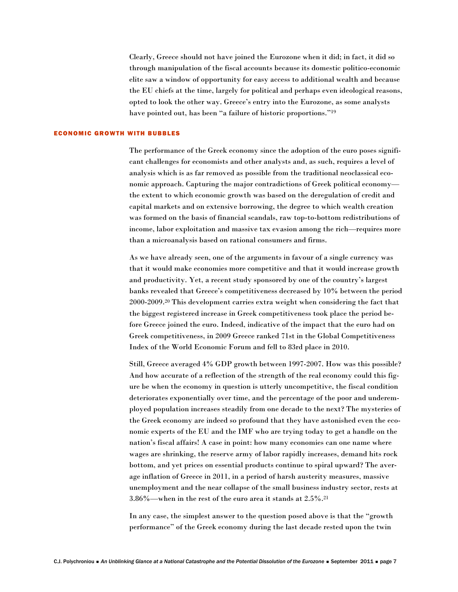Clearly, Greece should not have joined the Eurozone when it did; in fact, it did so through manipulation of the fiscal accounts because its domestic politico-economic elite saw a window of opportunity for easy access to additional wealth and because the EU chiefs at the time, largely for political and perhaps even ideological reasons, opted to look the other way. Greece's entry into the Eurozone, as some analysts have pointed out, has been "a failure of historic proportions."<sup>19</sup>

## ECONOMIC GROWTH WITH BUBBLES

The performance of the Greek economy since the adoption of the euro poses significant challenges for economists and other analysts and, as such, requires a level of analysis which is as far removed as possible from the traditional neoclassical economic approach. Capturing the major contradictions of Greek political economy the extent to which economic growth was based on the deregulation of credit and capital markets and on extensive borrowing, the degree to which wealth creation was formed on the basis of financial scandals, raw top-to-bottom redistributions of income, labor exploitation and massive tax evasion among the rich—requires more than a microanalysis based on rational consumers and firms.

As we have already seen, one of the arguments in favour of a single currency was that it would make economies more competitive and that it would increase growth and productivity. Yet, a recent study sponsored by one of the country's largest banks revealed that Greece's competitiveness decreased by 10% between the period 2000-2009.20 This development carries extra weight when considering the fact that the biggest registered increase in Greek competitiveness took place the period before Greece joined the euro. Indeed, indicative of the impact that the euro had on Greek competitiveness, in 2009 Greece ranked 71st in the Global Competitiveness Index of the World Economic Forum and fell to 83rd place in 2010.

Still, Greece averaged 4% GDP growth between 1997-2007. How was this possible? And how accurate of a reflection of the strength of the real economy could this figure be when the economy in question is utterly uncompetitive, the fiscal condition deteriorates exponentially over time, and the percentage of the poor and underemployed population increases steadily from one decade to the next? The mysteries of the Greek economy are indeed so profound that they have astonished even the economic experts of the EU and the IMF who are trying today to get a handle on the nation's fiscal affairs! A case in point: how many economies can one name where wages are shrinking, the reserve army of labor rapidly increases, demand hits rock bottom, and yet prices on essential products continue to spiral upward? The average inflation of Greece in 2011, in a period of harsh austerity measures, massive unemployment and the near collapse of the small business industry sector, rests at 3.86%—when in the rest of the euro area it stands at 2.5%.21

In any case, the simplest answer to the question posed above is that the "growth performance" of the Greek economy during the last decade rested upon the twin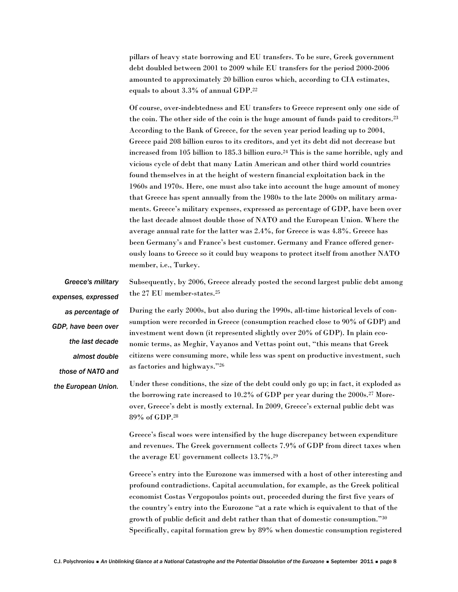pillars of heavy state borrowing and EU transfers. To be sure, Greek government debt doubled between 2001 to 2009 while EU transfers for the period 2000-2006 amounted to approximately 20 billion euros which, according to CIA estimates, equals to about 3.3% of annual GDP.22

Of course, over-indebtedness and EU transfers to Greece represent only one side of the coin. The other side of the coin is the huge amount of funds paid to creditors.23 According to the Bank of Greece, for the seven year period leading up to 2004, Greece paid 208 billion euros to its creditors, and yet its debt did not decrease but increased from 105 billion to 185.3 billion euro.24 This is the same horrible, ugly and vicious cycle of debt that many Latin American and other third world countries found themselves in at the height of western financial exploitation back in the 1960s and 1970s. Here, one must also take into account the huge amount of money that Greece has spent annually from the 1980s to the late 2000s on military armaments. Greece's military expenses, expressed as percentage of GDP, have been over the last decade almost double those of NATO and the European Union. Where the average annual rate for the latter was 2.4%, for Greece is was 4.8%. Greece has been Germany's and France's best customer. Germany and France offered generously loans to Greece so it could buy weapons to protect itself from another NATO member, i.e., Turkey.

Subsequently, by 2006, Greece already posted the second largest public debt among the 27 EU member-states.25 During the early 2000s, but also during the 1990s, all-time historical levels of consumption were recorded in Greece (consumption reached close to 90% of GDP) and investment went down (it represented slightly over 20% of GDP). In plain economic terms, as Meghir, Vayanos and Vettas point out, "this means that Greek citizens were consuming more, while less was spent on productive investment, such as factories and highways."26 Under these conditions, the size of the debt could only go up; in fact, it exploded as the borrowing rate increased to 10.2% of GDP per year during the 2000s.27 Moreover, Greece's debt is mostly external. In 2009, Greece's external public debt was 89% of GDP.28 Greece's fiscal woes were intensified by the huge discrepancy between expenditure and revenues. The Greek government collects 7.9% of GDP from direct taxes when the average EU government collects 13.7%.29 Greece's entry into the Eurozone was immersed with a host of other interesting and *Greece's military expenses, expressed as percentage of GDP, have been over the last decade almost double those of NATO and the European Union.*

profound contradictions. Capital accumulation, for example, as the Greek political economist Costas Vergopoulos points out, proceeded during the first five years of the country's entry into the Eurozone "at a rate which is equivalent to that of the growth of public deficit and debt rather than that of domestic consumption."30 Specifically, capital formation grew by 89% when domestic consumption registered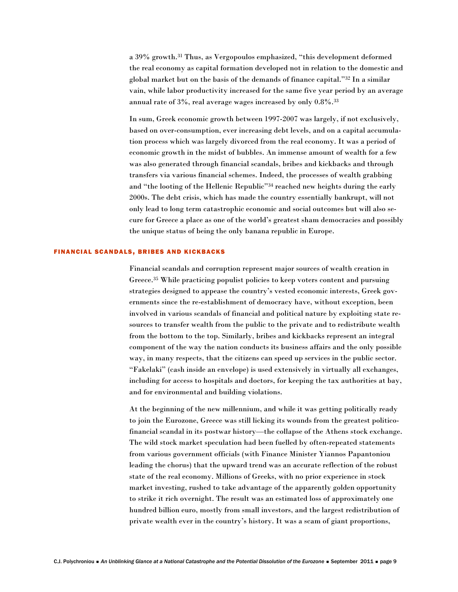a 39% growth.31 Thus, as Vergopoulos emphasized, "this development deformed the real economy as capital formation developed not in relation to the domestic and global market but on the basis of the demands of finance capital."32 In a similar vain, while labor productivity increased for the same five year period by an average annual rate of 3%, real average wages increased by only 0.8%.33

In sum, Greek economic growth between 1997-2007 was largely, if not exclusively, based on over-consumption, ever increasing debt levels, and on a capital accumulation process which was largely divorced from the real economy. It was a period of economic growth in the midst of bubbles. An immense amount of wealth for a few was also generated through financial scandals, bribes and kickbacks and through transfers via various financial schemes. Indeed, the processes of wealth grabbing and "the looting of the Hellenic Republic"34 reached new heights during the early 2000s. The debt crisis, which has made the country essentially bankrupt, will not only lead to long term catastrophic economic and social outcomes but will also secure for Greece a place as one of the world's greatest sham democracies and possibly the unique status of being the only banana republic in Europe.

### FINANCIAL SCANDALS, BRIBES AND KICKBACKS

Financial scandals and corruption represent major sources of wealth creation in Greece.35 While practicing populist policies to keep voters content and pursuing strategies designed to appease the country's vested economic interests, Greek governments since the re-establishment of democracy have, without exception, been involved in various scandals of financial and political nature by exploiting state resources to transfer wealth from the public to the private and to redistribute wealth from the bottom to the top. Similarly, bribes and kickbacks represent an integral component of the way the nation conducts its business affairs and the only possible way, in many respects, that the citizens can speed up services in the public sector. "Fakelaki" (cash inside an envelope) is used extensively in virtually all exchanges, including for access to hospitals and doctors, for keeping the tax authorities at bay, and for environmental and building violations.

At the beginning of the new millennium, and while it was getting politically ready to join the Eurozone, Greece was still licking its wounds from the greatest politicofinancial scandal in its postwar history—the collapse of the Athens stock exchange. The wild stock market speculation had been fuelled by often-repeated statements from various government officials (with Finance Minister Yiannos Papantoniou leading the chorus) that the upward trend was an accurate reflection of the robust state of the real economy. Millions of Greeks, with no prior experience in stock market investing, rushed to take advantage of the apparently golden opportunity to strike it rich overnight. The result was an estimated loss of approximately one hundred billion euro, mostly from small investors, and the largest redistribution of private wealth ever in the country's history. It was a scam of giant proportions,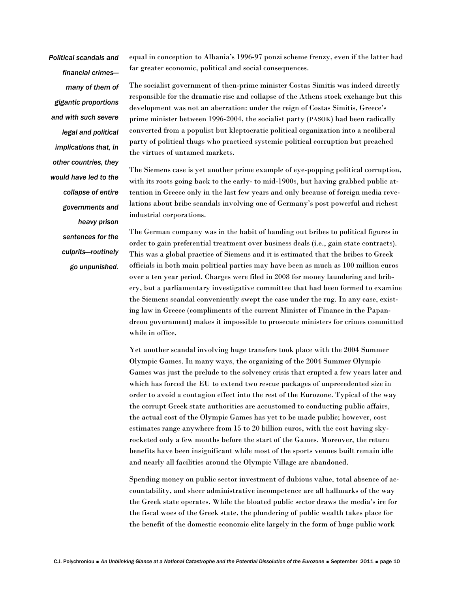*Political scandals and financial crimes many of them of gigantic proportions and with such severe legal and political implications that, in other countries, they would have led to the collapse of entire governments and heavy prison sentences for the culprits—routinely go unpunished.*

equal in conception to Albania's 1996-97 ponzi scheme frenzy, even if the latter had far greater economic, political and social consequences.

The socialist government of then-prime minister Costas Simitis was indeed directly responsible for the dramatic rise and collapse of the Athens stock exchange but this development was not an aberration: under the reign of Costas Simitis, Greece's prime minister between 1996-2004, the socialist party (PASOK) had been radically converted from a populist but kleptocratic political organization into a neoliberal party of political thugs who practiced systemic political corruption but preached the virtues of untamed markets.

The Siemens case is yet another prime example of eye-popping political corruption, with its roots going back to the early- to mid-1900s, but having grabbed public attention in Greece only in the last few years and only because of foreign media revelations about bribe scandals involving one of Germany's post powerful and richest industrial corporations.

The German company was in the habit of handing out bribes to political figures in order to gain preferential treatment over business deals (i.e., gain state contracts). This was a global practice of Siemens and it is estimated that the bribes to Greek officials in both main political parties may have been as much as 100 million euros over a ten year period. Charges were filed in 2008 for money laundering and bribery, but a parliamentary investigative committee that had been formed to examine the Siemens scandal conveniently swept the case under the rug. In any case, existing law in Greece (compliments of the current Minister of Finance in the Papandreou government) makes it impossible to prosecute ministers for crimes committed while in office.

Yet another scandal involving huge transfers took place with the 2004 Summer Olympic Games. In many ways, the organizing of the 2004 Summer Olympic Games was just the prelude to the solvency crisis that erupted a few years later and which has forced the EU to extend two rescue packages of unprecedented size in order to avoid a contagion effect into the rest of the Eurozone. Typical of the way the corrupt Greek state authorities are accustomed to conducting public affairs, the actual cost of the Olympic Games has yet to be made public; however, cost estimates range anywhere from 15 to 20 billion euros, with the cost having skyrocketed only a few months before the start of the Games. Moreover, the return benefits have been insignificant while most of the sports venues built remain idle and nearly all facilities around the Olympic Village are abandoned.

Spending money on public sector investment of dubious value, total absence of accountability, and sheer administrative incompetence are all hallmarks of the way the Greek state operates. While the bloated public sector draws the media's ire for the fiscal woes of the Greek state, the plundering of public wealth takes place for the benefit of the domestic economic elite largely in the form of huge public work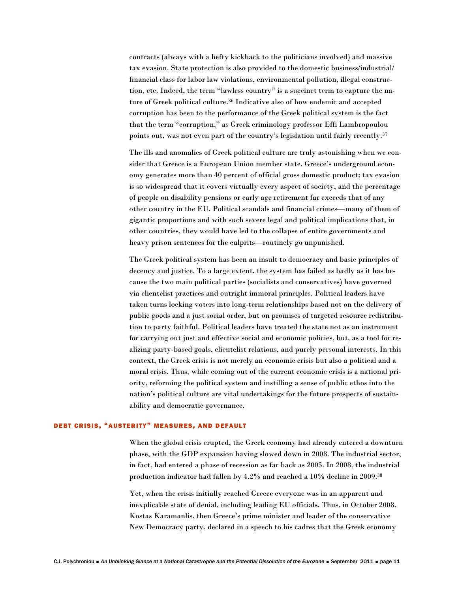contracts (always with a hefty kickback to the politicians involved) and massive tax evasion. State protection is also provided to the domestic business/industrial/ financial class for labor law violations, environmental pollution, illegal construction, etc. Indeed, the term "lawless country" is a succinct term to capture the nature of Greek political culture.<sup>36</sup> Indicative also of how endemic and accepted corruption has been to the performance of the Greek political system is the fact that the term "corruption," as Greek criminology professor Effi Lambropoulou points out, was not even part of the country's legislation until fairly recently.<sup>37</sup>

The ills and anomalies of Greek political culture are truly astonishing when we consider that Greece is a European Union member state. Greece's underground economy generates more than 40 percent of official gross domestic product; tax evasion is so widespread that it covers virtually every aspect of society, and the percentage of people on disability pensions or early age retirement far exceeds that of any other country in the EU. Political scandals and financial crimes—many of them of gigantic proportions and with such severe legal and political implications that, in other countries, they would have led to the collapse of entire governments and heavy prison sentences for the culprits—routinely go unpunished.

The Greek political system has been an insult to democracy and basic principles of decency and justice. To a large extent, the system has failed as badly as it has because the two main political parties (socialists and conservatives) have governed via clientelist practices and outright immoral principles. Political leaders have taken turns locking voters into long-term relationships based not on the delivery of public goods and a just social order, but on promises of targeted resource redistribution to party faithful. Political leaders have treated the state not as an instrument for carrying out just and effective social and economic policies, but, as a tool for realizing party-based goals, clientelist relations, and purely personal interests. In this context, the Greek crisis is not merely an economic crisis but also a political and a moral crisis. Thus, while coming out of the current economic crisis is a national priority, reforming the political system and instilling a sense of public ethos into the nation's political culture are vital undertakings for the future prospects of sustainability and democratic governance.

## DEBT CRISIS, "AUSTERITY" MEASURES, AND DEFAULT

When the global crisis erupted, the Greek economy had already entered a downturn phase, with the GDP expansion having slowed down in 2008. The industrial sector, in fact, had entered a phase of recession as far back as 2005. In 2008, the industrial production indicator had fallen by 4.2% and reached a 10% decline in 2009.38

Yet, when the crisis initially reached Greece everyone was in an apparent and inexplicable state of denial, including leading EU officials. Thus, in October 2008, Kostas Karamanlis, then Greece's prime minister and leader of the conservative New Democracy party, declared in a speech to his cadres that the Greek economy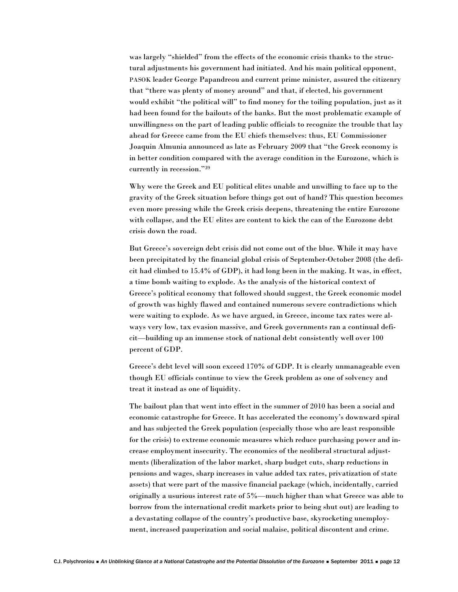was largely "shielded" from the effects of the economic crisis thanks to the structural adjustments his government had initiated. And his main political opponent, PASOK leader George Papandreou and current prime minister, assured the citizenry that "there was plenty of money around" and that, if elected, his government would exhibit "the political will" to find money for the toiling population, just as it had been found for the bailouts of the banks. But the most problematic example of unwillingness on the part of leading public officials to recognize the trouble that lay ahead for Greece came from the EU chiefs themselves: thus, EU Commissioner Joaquin Almunia announced as late as February 2009 that "the Greek economy is in better condition compared with the average condition in the Eurozone, which is currently in recession."39

Why were the Greek and EU political elites unable and unwilling to face up to the gravity of the Greek situation before things got out of hand? This question becomes even more pressing while the Greek crisis deepens, threatening the entire Eurozone with collapse, and the EU elites are content to kick the can of the Eurozone debt crisis down the road.

But Greece's sovereign debt crisis did not come out of the blue. While it may have been precipitated by the financial global crisis of September-October 2008 (the deficit had climbed to 15.4% of GDP), it had long been in the making. It was, in effect, a time bomb waiting to explode. As the analysis of the historical context of Greece's political economy that followed should suggest, the Greek economic model of growth was highly flawed and contained numerous severe contradictions which were waiting to explode. As we have argued, in Greece, income tax rates were always very low, tax evasion massive, and Greek governments ran a continual deficit—building up an immense stock of national debt consistently well over 100 percent of GDP.

Greece's debt level will soon exceed 170% of GDP. It is clearly unmanageable even though EU officials continue to view the Greek problem as one of solvency and treat it instead as one of liquidity.

The bailout plan that went into effect in the summer of 2010 has been a social and economic catastrophe for Greece. It has accelerated the economy's downward spiral and has subjected the Greek population (especially those who are least responsible for the crisis) to extreme economic measures which reduce purchasing power and increase employment insecurity. The economics of the neoliberal structural adjustments (liberalization of the labor market, sharp budget cuts, sharp reductions in pensions and wages, sharp increases in value added tax rates, privatization of state assets) that were part of the massive financial package (which, incidentally, carried originally a usurious interest rate of 5%—much higher than what Greece was able to borrow from the international credit markets prior to being shut out) are leading to a devastating collapse of the country's productive base, skyrocketing unemployment, increased pauperization and social malaise, political discontent and crime.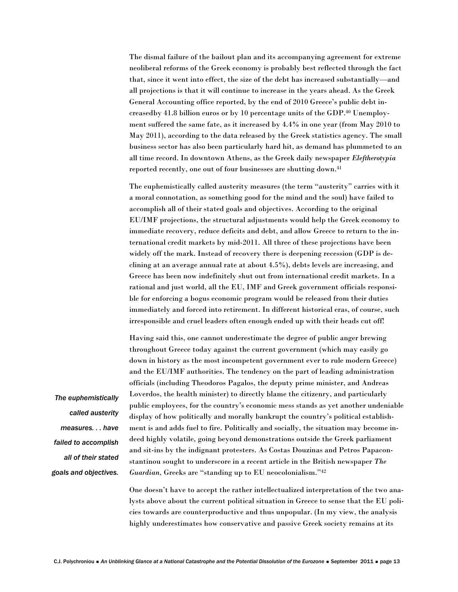The dismal failure of the bailout plan and its accompanying agreement for extreme neoliberal reforms of the Greek economy is probably best reflected through the fact that, since it went into effect, the size of the debt has increased substantially—and all projections is that it will continue to increase in the years ahead. As the Greek General Accounting office reported, by the end of 2010 Greece's public debt increasedby 41.8 billion euros or by 10 percentage units of the GDP.40 Unemployment suffered the same fate, as it increased by 4.4% in one year (from May 2010 to May 2011), according to the data released by the Greek statistics agency. The small business sector has also been particularly hard hit, as demand has plummeted to an all time record. In downtown Athens, as the Greek daily newspaper *Eleftherotypia* reported recently, one out of four businesses are shutting down.41

The euphemistically called austerity measures (the term "austerity" carries with it a moral connotation, as something good for the mind and the soul) have failed to accomplish all of their stated goals and objectives. According to the original EU/IMF projections, the structural adjustments would help the Greek economy to immediate recovery, reduce deficits and debt, and allow Greece to return to the international credit markets by mid-2011. All three of these projections have been widely off the mark. Instead of recovery there is deepening recession (GDP is declining at an average annual rate at about 4.5%), debts levels are increasing, and Greece has been now indefinitely shut out from international credit markets. In a rational and just world, all the EU, IMF and Greek government officials responsible for enforcing a bogus economic program would be released from their duties immediately and forced into retirement. In different historical eras, of course, such irresponsible and cruel leaders often enough ended up with their heads cut off!

Having said this, one cannot underestimate the degree of public anger brewing throughout Greece today against the current government (which may easily go down in history as the most incompetent government ever to rule modern Greece) and the EU/IMF authorities. The tendency on the part of leading administration officials (including Theodoros Pagalos, the deputy prime minister, and Andreas Loverdos, the health minister) to directly blame the citizenry, and particularly public employees, for the country's economic mess stands as yet another undeniable display of how politically and morally bankrupt the country's political establishment is and adds fuel to fire. Politically and socially, the situation may become indeed highly volatile, going beyond demonstrations outside the Greek parliament and sit-ins by the indignant protesters. As Costas Douzinas and Petros Papaconstantinou sought to underscore in a recent article in the British newspaper *The Guardian,* Greeks are "standing up to EU neocolonialism."42

*The euphemistically called austerity measures. . . have failed to accomplish all of their stated goals and objectives.*

> One doesn't have to accept the rather intellectualized interpretation of the two analysts above about the current political situation in Greece to sense that the EU policies towards are counterproductive and thus unpopular. (In my view, the analysis highly underestimates how conservative and passive Greek society remains at its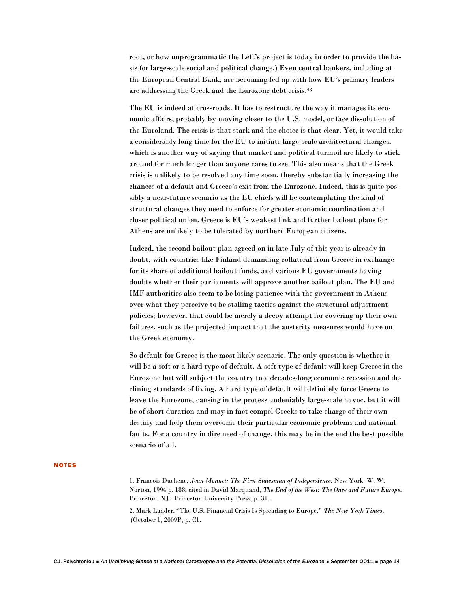root, or how unprogrammatic the Left's project is today in order to provide the basis for large-scale social and political change.) Even central bankers, including at the European Central Bank, are becoming fed up with how EU's primary leaders are addressing the Greek and the Eurozone debt crisis.43

The EU is indeed at crossroads. It has to restructure the way it manages its economic affairs, probably by moving closer to the U.S. model, or face dissolution of the Euroland. The crisis is that stark and the choice is that clear. Yet, it would take a considerably long time for the EU to initiate large-scale architectural changes, which is another way of saying that market and political turmoil are likely to stick around for much longer than anyone cares to see. This also means that the Greek crisis is unlikely to be resolved any time soon, thereby substantially increasing the chances of a default and Greece's exit from the Eurozone. Indeed, this is quite possibly a near-future scenario as the EU chiefs will be contemplating the kind of structural changes they need to enforce for greater economic coordination and closer political union. Greece is EU's weakest link and further bailout plans for Athens are unlikely to be tolerated by northern European citizens.

Indeed, the second bailout plan agreed on in late July of this year is already in doubt, with countries like Finland demanding collateral from Greece in exchange for its share of additional bailout funds, and various EU governments having doubts whether their parliaments will approve another bailout plan. The EU and IMF authorities also seem to be losing patience with the government in Athens over what they perceive to be stalling tactics against the structural adjustment policies; however, that could be merely a decoy attempt for covering up their own failures, such as the projected impact that the austerity measures would have on the Greek economy.

So default for Greece is the most likely scenario. The only question is whether it will be a soft or a hard type of default. A soft type of default will keep Greece in the Eurozone but will subject the country to a decades-long economic recession and declining standards of living. A hard type of default will definitely force Greece to leave the Eurozone, causing in the process undeniably large-scale havoc, but it will be of short duration and may in fact compel Greeks to take charge of their own destiny and help them overcome their particular economic problems and national faults. For a country in dire need of change, this may be in the end the best possible scenario of all.

#### NOTES

1. Francois Duchene, *Jean Monnet: The First Statesman of Independence*. New York: W. W. Norton, 1994 p. 188; cited in David Marquand, *The End of the West: The Once and Future Europe*. Princeton, NJ.: Princeton University Press, p. 31.

2. Mark Lander. "The U.S. Financial Crisis Is Spreading to Europe." *The New York Times,*  (October 1, 2009P, p. C1.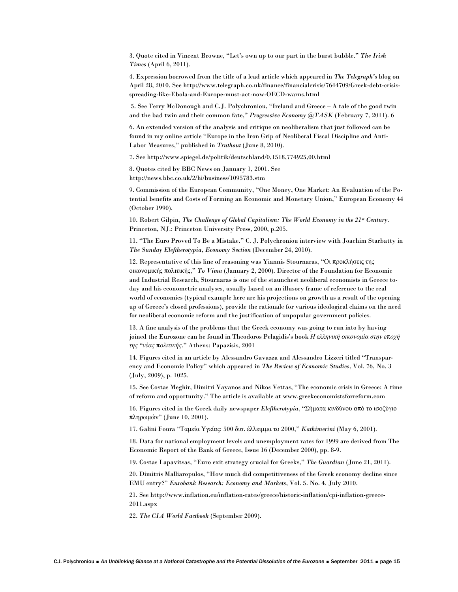3. Quote cited in Vincent Browne, "Let's own up to our part in the burst bubble." *The Irish Times* (April 6, 2011).

4. Expression borrowed from the title of a lead article which appeared in *The Telegraph's* blog on April 28, 2010. See http://www.telegraph.co.uk/finance/financialcrisis/7644709/Greek-debt-crisisspreading-like-Ebola-and-Europe-must-act-now-OECD-warns.html

 5. See Terry McDonough and C.J. Polychroniou, "Ireland and Greece – A tale of the good twin and the bad twin and their common fate," *Progressive Economy @TASK* (February 7, 2011). 6

6. An extended version of the analysis and critique on neoliberalism that just followed can be found in my online article "Europe in the Iron Grip of Neoliberal Fiscal Discipline and Anti-Labor Measures," published in *Truthout* (June 8, 2010).

7. See http://www.spiegel.de/politik/deutschland/0,1518,774925,00.html

8. Quotes cited by BBC News on January 1, 2001. See http://news.bbc.co.uk/2/hi/business/1095783.stm

9. Commission of the European Community, "One Money, One Market: An Evaluation of the Potential benefits and Costs of Forming an Economic and Monetary Union," European Economy 44 (October 1990).

10. Robert Gilpin, *The Challenge of Global Capitalism: The World Economy in the 21st Century*. Princeton, NJ.: Princeton University Press, 2000, p.205.

11. "The Euro Proved To Be a Mistake." C. J. Polychroniou interview with Joachim Starbatty in *The Sunday Eleftherotypia*, *Economy Section* (December 24, 2010).

12. Representative of this line of reasoning was Yiannis Stournaras, "Οι προκλήσεις της οικονομικής πολιτικής," *To Vima* (January 2, 2000). Director of the Foundation for Economic and Industrial Research, Stournaras is one of the staunchest neoliberal economists in Greece today and his econometric analyses, usually based on an illusory frame of reference to the real world of economics (typical example here are his projections on growth as a result of the opening up of Greece's closed professions), provide the rationale for various ideological claims on the need for neoliberal economic reform and the justification of unpopular government policies.

13. A fine analysis of the problems that the Greek economy was going to run into by having joined the Eurozone can be found in Theodoros Pelagidis's book *Η ελληνική οικονομία στην εποχή της "νέας πολιτικής*." Athens: Papazisis, 2001

14. Figures cited in an article by Alessandro Gavazza and Alessandro Lizzeri titled "Transparency and Economic Policy" which appeared in *The Review of Economic Studies*, Vol. 76, No. 3 (July, 2009), p. 1025.

15. See Costas Meghir, Dimitri Vayanos and Nikos Vettas, "The economic crisis in Greece: A time of reform and opportunity." The article is available at www.greekeconomistsforreform.com

16. Figures cited in the Greek daily newspaper *Eleftherotypia*, "Σήματα κινδύνου από το ισοζύγιο πληρωμών" (June 10, 2001).

17. Galini Foura "Ταμεία Υγείας: 500 δισ. έλλειμμα το 2000," *Kathimerini* (May 6, 2001).

18. Data for national employment levels and unemployment rates for 1999 are derived from The Economic Report of the Bank of Greece, Issue 16 (December 2000), pp. 8-9.

19. Costas Lapavitsas, "Euro exit strategy crucial for Greeks," *The Guardian* (June 21, 2011).

20. Dimitris Malliaropulos, "How much did competitiveness of the Greek economy decline since EMU entry?" *Eurobank Research: Economy and Markets*, Vol. 5. No. 4. July 2010.

21. See http://www.inflation.eu/inflation-rates/greece/historic-inflation/cpi-inflation-greece-2011.aspx

22. *The CIA World Factbook* (September 2009).